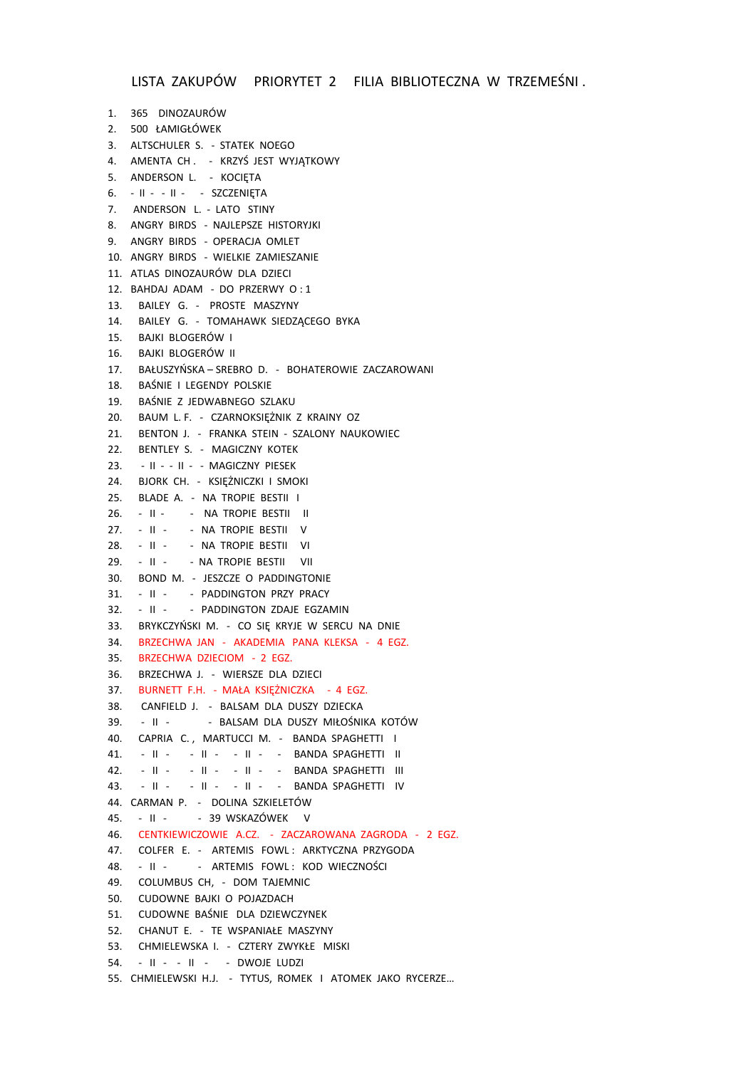```
1. 365 DINOZAURÓW
2. 500 ŁAMIGŁÓWEK
3. ALTSCHULER S. - STATEK NOEGO
4. AMENTA CH . - KRZYŚ JEST WYJĄTKOWY
5. ANDERSON L. - KOCIETA
6. - II - - II - - SZCZENIĘTA
7. ANDERSON L. - LATO STINY
8. ANGRY BIRDS - NAJLEPSZE HISTORYJKI
9. ANGRY BIRDS - OPERACJA OMLET
10. ANGRY BIRDS - WIELKIE ZAMIESZANIE
11. ATLAS DINOZAURÓW DLA DZIECI
12. BAHDAJ ADAM - DO PRZERWY O : 1
13. BAILEY G. - PROSTE MASZYNY
14. BAILEY G. - TOMAHAWK SIEDZĄCEGO BYKA
15. BAJKI BLOGERÓW I
16. BAJKI BLOGERÓW II
17. BAŁUSZYŃSKA – SREBRO D. - BOHATEROWIE ZACZAROWANI
18. BAŚNIE I LEGENDY POLSKIE
19. BAŚNIE Z JEDWABNEGO SZLAKU
20. BAUM L. F. - CZARNOKSIĘŻNIK Z KRAINY OZ
21. BENTON J. - FRANKA STEIN - SZALONY NAUKOWIEC
22. BENTLEY S. - MAGICZNY KOTEK
23. - II - - II - - MAGICZNY PIESEK
24. BJORK CH. - KSIĘŻNICZKI I SMOKI
25. BLADE A. - NA TROPIE BESTII I
26. - II - - NA TROPIE BESTII II
27. - II - - NA TROPIE BESTII V
28. - II - - NA TROPIE BESTII VI
29. - II - - NA TROPIE BESTII VII
30. BOND M. - JESZCZE O PADDINGTONIE
31. - II - - PADDINGTON PRZY PRACY
32. - II - - PADDINGTON ZDAJE EGZAMIN
33. BRYKCZYŃSKI M. - CO SIĘ KRYJE W SERCU NA DNIE
34. BRZECHWA JAN - AKADEMIA PANA KLEKSA - 4 EGZ.
35. BRZECHWA DZIECIOM - 2 EGZ.
36. BRZECHWA J. - WIERSZE DLA DZIECI
37. BURNETT F.H. - MAŁA KSIĘŻNICZKA - 4 EGZ.
38. CANFIELD J. - BALSAM DLA DUSZY DZIECKA
39. - II - - BALSAM DLA DUSZY MIŁOŚNIKA KOTÓW
40. CAPRIA C., MARTUCCI M. - BANDA SPAGHETTI I
41. - II - - II - - II - - BANDA SPAGHETTI II
42. - II - - II - - II - - BANDA SPAGHETTI III
43. - II - - II - - II - - BANDA SPAGHETTI IV
44. CARMAN P. - DOLINA SZKIELETÓW
45. - II - - 39 WSKAZÓWEK V
46. CENTKIEWICZOWIE A.CZ. - ZACZAROWANA ZAGRODA - 2 EGZ.
47. COLFER E. - ARTEMIS FOWL : ARKTYCZNA PRZYGODA
48. - II - - ARTEMIS FOWL: KOD WIECZNOŚCI
49. COLUMBUS CH, - DOM TAJEMNIC
50. CUDOWNE BAJKI O POJAZDACH
51. CUDOWNE BAŚNIE DLA DZIEWCZYNEK
52. CHANUT E. - TE WSPANIAŁE MASZYNY
53. CHMIELEWSKA I. - CZTERY ZWYKŁE MISKI
54. - II - - II - - DWOJE LUDZI
55. CHMIELEWSKI H.J. - TYTUS, ROMEK I ATOMEK JAKO RYCERZE…
```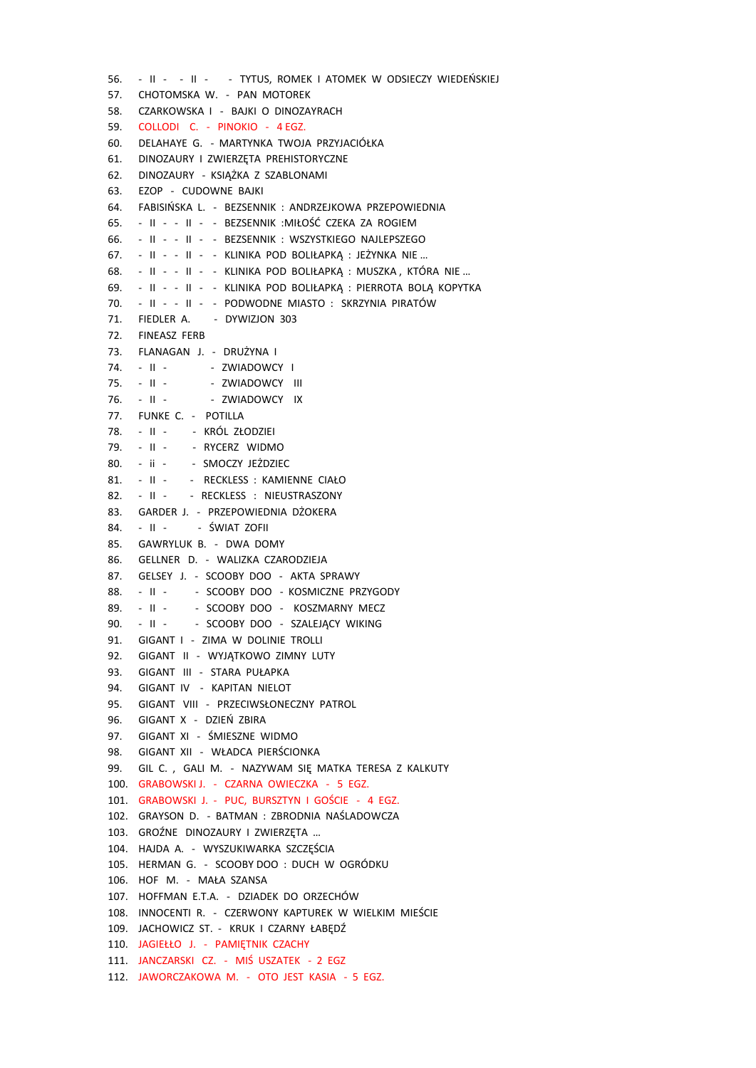56. - II - - II - - TYTUS, ROMEK I ATOMEK W ODSIECZY WIEDEŃSKIEJ 57. CHOTOMSKA W. - PAN MOTOREK 58. CZARKOWSKA I - BAJKI O DINOZAYRACH 59. COLLODI C. - PINOKIO - 4 EGZ. 60. DELAHAYE G. - MARTYNKA TWOJA PRZYJACIÓŁKA 61. DINOZAURY I ZWIERZĘTA PREHISTORYCZNE 62. DINOZAURY - KSIAŻKA Z SZABLONAMI 63. EZOP - CUDOWNE BAJKI 64. FABISIŃSKA L. - BEZSENNIK : ANDRZEJKOWA PRZEPOWIEDNIA 65. - II - - II - - BEZSENNIK :MIŁOŚĆ CZEKA ZA ROGIEM 66. - II - - II - - BEZSENNIK : WSZYSTKIEGO NAJLEPSZEGO 67. - II - - II - - KLINIKA POD BOLIŁAPKĄ : JEŻYNKA NIE … 68. - II - - II - - KLINIKA POD BOLIŁAPKĄ : MUSZKA , KTÓRA NIE … 69. - II - - II - - KLINIKA POD BOLIŁAPKĄ : PIERROTA BOLĄ KOPYTKA 70. - II - - II - - PODWODNE MIASTO : SKRZYNIA PIRATÓW 71. FIEDLER A. - DYWIZJON 303 72. FINEASZ FERB 73. FLANAGAN J. - DRUŻYNA I 74. - II - - ZWIADOWCY I 75. - II - - ZWIADOWCY III 76. - II - - ZWIADOWCY IX 77. FUNKE C. - POTILLA 78. - II - - KRÓL ZŁODZIEI 79. - II - - RYCERZ WIDMO 80. - ii - - SMOCZY JEŻDZIEC 81. - II - - RECKLESS : KAMIENNE CIAŁO 82. - II - - RECKLESS : NIEUSTRASZONY 83. GARDER J. - PRZEPOWIEDNIA DŻOKERA 84. - II - - ŚWIAT ZOFII 85. GAWRYLUK B. - DWA DOMY 86. GELLNER D. - WALIZKA CZARODZIEJA 87. GELSEY J. - SCOOBY DOO - AKTA SPRAWY 88. - II - - SCOOBY DOO - KOSMICZNE PRZYGODY 89. - II - - SCOOBY DOO - KOSZMARNY MECZ 90. - II - - SCOOBY DOO - SZALEJĄCY WIKING 91. GIGANT I - ZIMA W DOLINIE TROLLI 92. GIGANT II - WYJĄTKOWO ZIMNY LUTY 93. GIGANT III - STARA PUŁAPKA 94. GIGANT IV - KAPITAN NIELOT 95. GIGANT VIII - PRZECIWSŁONECZNY PATROL 96. GIGANT X - DZIEŃ ZBIRA 97. GIGANT XI - ŚMIESZNE WIDMO 98. GIGANT XII - WŁADCA PIERŚCIONKA 99. GIL C. , GALI M. - NAZYWAM SIĘ MATKA TERESA Z KALKUTY 100. GRABOWSKI J. - CZARNA OWIECZKA - 5 EGZ. 101. GRABOWSKI J. - PUC, BURSZTYN I GOŚCIE - 4 EGZ. 102. GRAYSON D. - BATMAN : ZBRODNIA NAŚLADOWCZA 103. GROŹNE DINOZAURY I ZWIERZĘTA … 104. HAJDA A. - WYSZUKIWARKA SZCZĘŚCIA 105. HERMAN G. - SCOOBY DOO : DUCH W OGRÓDKU 106. HOF M. - MAŁA SZANSA 107. HOFFMAN E.T.A. - DZIADEK DO ORZECHÓW 108. INNOCENTI R. - CZERWONY KAPTUREK W WIELKIM MIEŚCIE 109. JACHOWICZ ST. - KRUK I CZARNY ŁABEDŹ 110. JAGIEŁŁO J. - PAMIĘTNIK CZACHY 111. JANCZARSKI CZ. - MIŚ USZATEK - 2 EGZ 112. JAWORCZAKOWA M. - OTO JEST KASIA - 5 EGZ.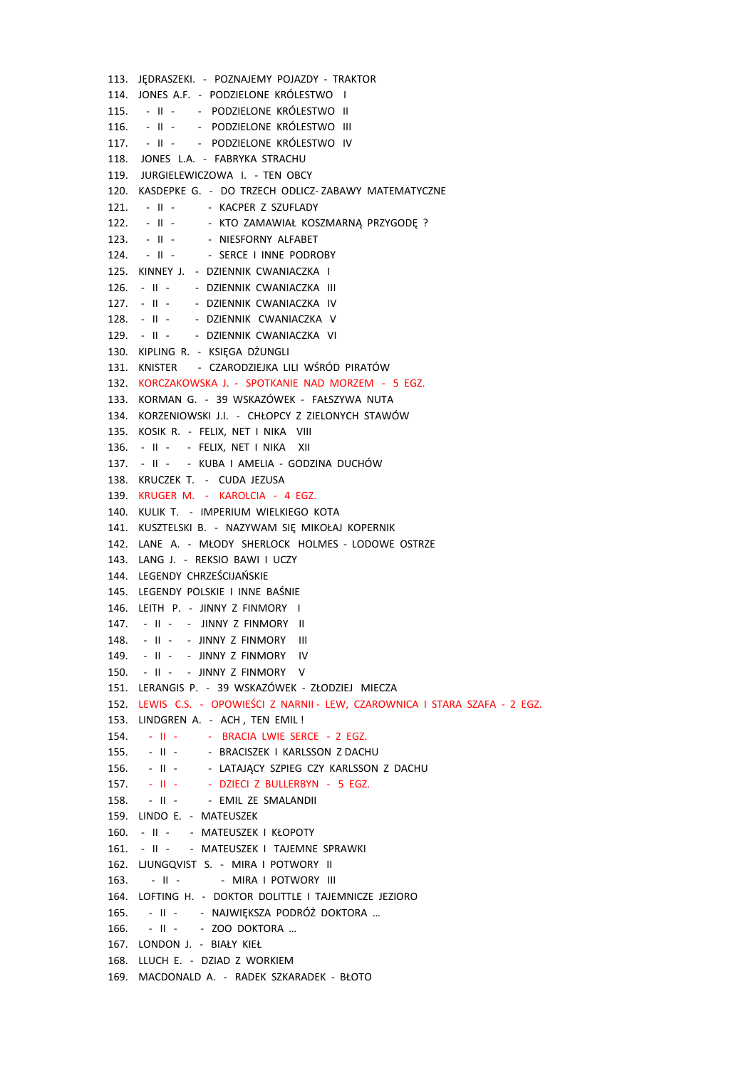113. JĘDRASZEKI. - POZNAJEMY POJAZDY - TRAKTOR 114. JONES A.F. - PODZIELONE KRÓLESTWO I 115. - II - - PODZIELONE KRÓLESTWO II 116. - II - - PODZIELONE KRÓLESTWO III 117. - II - - PODZIELONE KRÓLESTWO IV 118. JONES L.A. - FABRYKA STRACHU 119. JURGIELEWICZOWA I. - TEN OBCY 120. KASDEPKE G. - DO TRZECH ODLICZ- ZABAWY MATEMATYCZNE 121. - II - - KACPER Z SZUFLADY 122. - II - - KTO ZAMAWIAŁ KOSZMARNĄ PRZYGODĘ ? 123. - II - - NIESFORNY ALFABET 124. - II - - SERCE I INNE PODROBY 125. KINNEY J. - DZIENNIK CWANIACZKA I 126. - II - - DZIENNIK CWANIACZKA III 127. - II - - DZIENNIK CWANIACZKA IV 128. - II - - DZIENNIK CWANIACZKA V 129. - II - - DZIENNIK CWANIACZKA VI 130. KIPLING R. - KSIĘGA DŻUNGLI 131. KNISTER - CZARODZIEJKA LILI WŚRÓD PIRATÓW 132. KORCZAKOWSKA J. - SPOTKANIE NAD MORZEM - 5 EGZ. 133. KORMAN G. - 39 WSKAZÓWEK - FAŁSZYWA NUTA 134. KORZENIOWSKI J.I. - CHŁOPCY Z ZIELONYCH STAWÓW 135. KOSIK R. - FELIX, NET I NIKA VIII 136. - II - - FELIX, NET I NIKA XII 137. - II - - KUBA I AMELIA - GODZINA DUCHÓW 138. KRUCZEK T. - CUDA JEZUSA 139. KRUGER M. - KAROLCIA - 4 EGZ. 140. KULIK T. - IMPERIUM WIELKIEGO KOTA 141. KUSZTELSKI B. - NAZYWAM SIĘ MIKOŁAJ KOPERNIK 142. LANE A. - MŁODY SHERLOCK HOLMES - LODOWE OSTRZE 143. LANG J. - REKSIO BAWI I UCZY 144. LEGENDY CHRZEŚCIJAŃSKIE 145. LEGENDY POLSKIE I INNE BAŚNIE 146. LEITH P. - JINNY Z FINMORY I 147. - II - - JINNY Z FINMORY II 148. - II - - JINNY Z FINMORY III 149. - II - - JINNY Z FINMORY IV 150. - II - - JINNY Z FINMORY V 151. LERANGIS P. - 39 WSKAZÓWEK - ZŁODZIEJ MIECZA 152. LEWIS C.S. - OPOWIEŚCI Z NARNII - LEW, CZAROWNICA I STARA SZAFA - 2 EGZ. 153. LINDGREN A. - ACH , TEN EMIL ! 154. - II - - BRACIA LWIE SERCE - 2 EGZ. 155. - II - - BRACISZEK I KARLSSON Z DACHU 156. - II - - LATAJĄCY SZPIEG CZY KARLSSON Z DACHU 157. - II - - DZIECI Z BULLERBYN - 5 EGZ. 158. - II - - - EMIL ZE SMALANDII 159. LINDO E. - MATEUSZEK 160. - II - - MATEUSZEK I KŁOPOTY 161. - II - - MATEUSZEK I TAJEMNE SPRAWKI 162. LJUNGQVIST S. - MIRA I POTWORY II 163. - II - - MIRA I POTWORY III 164. LOFTING H. - DOKTOR DOLITTLE I TAJEMNICZE JEZIORO 165. - II - - NAJWIĘKSZA PODRÓŻ DOKTORA … 166. - II - - ZOO DOKTORA … 167. LONDON J. - BIAŁY KIEŁ 168. LLUCH E. - DZIAD Z WORKIEM 169. MACDONALD A. - RADEK SZKARADEK - BŁOTO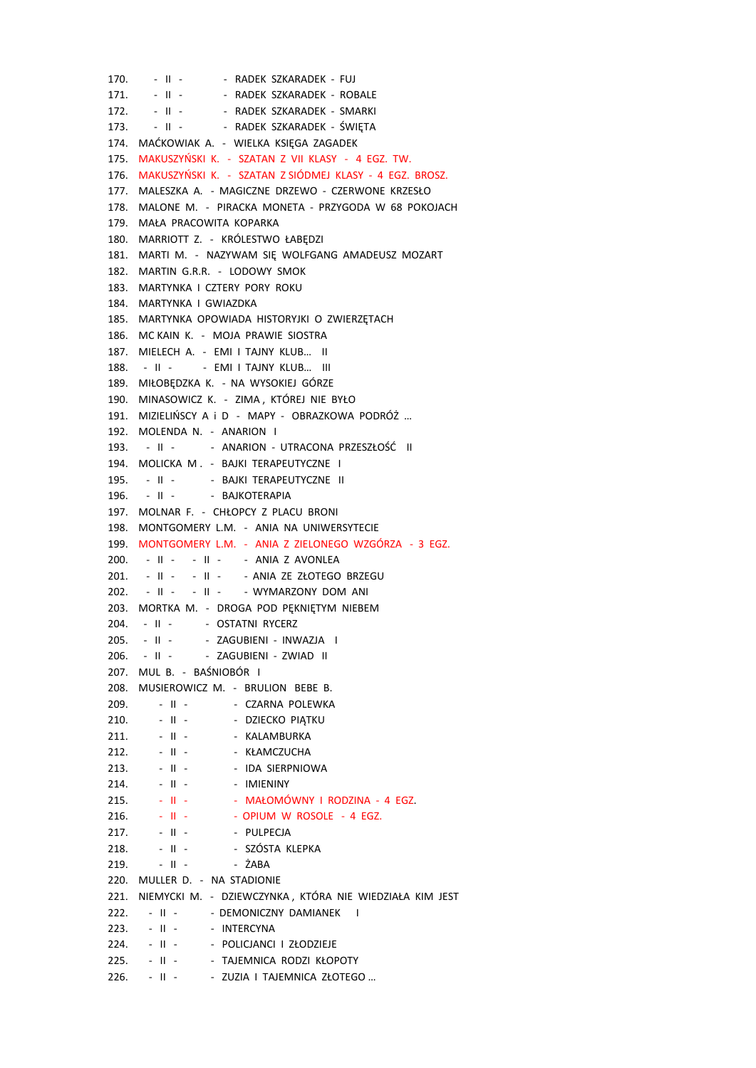170. - II - - RADEK SZKARADEK - FUJ 171. - II - - - RADEK SZKARADEK - ROBALE 172. - II - - - RADEK SZKARADEK - SMARKI 173. - II - - - RADEK SZKARADEK - ŚWIĘTA 174. MAĆKOWIAK A. - WIELKA KSIĘGA ZAGADEK 175. MAKUSZYŃSKI K. - SZATAN Z VII KLASY - 4 EGZ. TW. 176. MAKUSZYŃSKI K. - SZATAN Z SIÓDMEJ KLASY - 4 EGZ. BROSZ. 177. MALESZKA A. - MAGICZNE DRZEWO - CZERWONE KRZESŁO 178. MALONE M. - PIRACKA MONETA - PRZYGODA W 68 POKOJACH 179. MAŁA PRACOWITA KOPARKA 180. MARRIOTT Z. - KRÓLESTWO ŁABĘDZI 181. MARTI M. - NAZYWAM SIĘ WOLFGANG AMADEUSZ MOZART 182. MARTIN G.R.R. - LODOWY SMOK 183. MARTYNKA I CZTERY PORY ROKU 184. MARTYNKA I GWIAZDKA 185. MARTYNKA OPOWIADA HISTORYJKI O ZWIERZĘTACH 186. MC KAIN K. - MOJA PRAWIE SIOSTRA 187. MIELECH A. - EMI I TAJNY KLUB… II 188. - II - - EMI I TAJNY KLUB... III 189. MIŁOBĘDZKA K. - NA WYSOKIEJ GÓRZE 190. MINASOWICZ K. - ZIMA , KTÓREJ NIE BYŁO 191. MIZIELIŃSCY A i D - MAPY - OBRAZKOWA PODRÓŻ … 192. MOLENDA N. - ANARION I 193. - II - - ANARION - UTRACONA PRZESZŁOŚĆ II 194. MOLICKA M . - BAJKI TERAPEUTYCZNE I 195. - II - - BAJKI TERAPEUTYCZNE II 196. - II - - BAJKOTERAPIA 197. MOLNAR F. - CHŁOPCY Z PLACU BRONI 198. MONTGOMERY L.M. - ANIA NA UNIWERSYTECIE 199. MONTGOMERY L.M. - ANIA Z ZIELONEGO WZGÓRZA - 3 EGZ. 200. - II - - II - - ANIA Z AVONLEA 201. - II - - II - - - ANIA ZE ZŁOTEGO BRZEGU 202. - II - - II - - WYMARZONY DOM ANI 203. MORTKA M. - DROGA POD PĘKNIĘTYM NIEBEM 204. - II - - OSTATNI RYCERZ 205. - II - - ZAGUBIENI - INWAZJA I 206. - II - - ZAGUBIENI - ZWIAD II 207. MUL B. - BAŚNIOBÓR I 208. MUSIEROWICZ M. - BRULION BEBE B. 209. - II - - CZARNA POLEWKA 210. - II - - DZIECKO PIATKU 211. - II - - KALAMBURKA 212. - II - - KŁAMCZUCHA 213. - II - - IDA SIERPNIOWA 214. - II - - - IMIENINY 215. - II - - MAŁOMÓWNY I RODZINA - 4 EGZ.  $216.$  - II - - - OPIUM W ROSOLE - 4 EGZ. 217. - II - - - PULPECJA 218. - II - - SZÓSTA KLEPKA 219. - II - - ŻABA 220. MULLER D. - NA STADIONIE 221. NIEMYCKI M. - DZIEWCZYNKA , KTÓRA NIE WIEDZIAŁA KIM JEST 222. - II - - DEMONICZNY DAMIANEK I 223. - II - - INTERCYNA 224. - II - - POLICJANCI I ZŁODZIEJE 225. - II - - TAJEMNICA RODZI KŁOPOTY 226. - II - - ZUZIA I TAJEMNICA ZŁOTEGO ...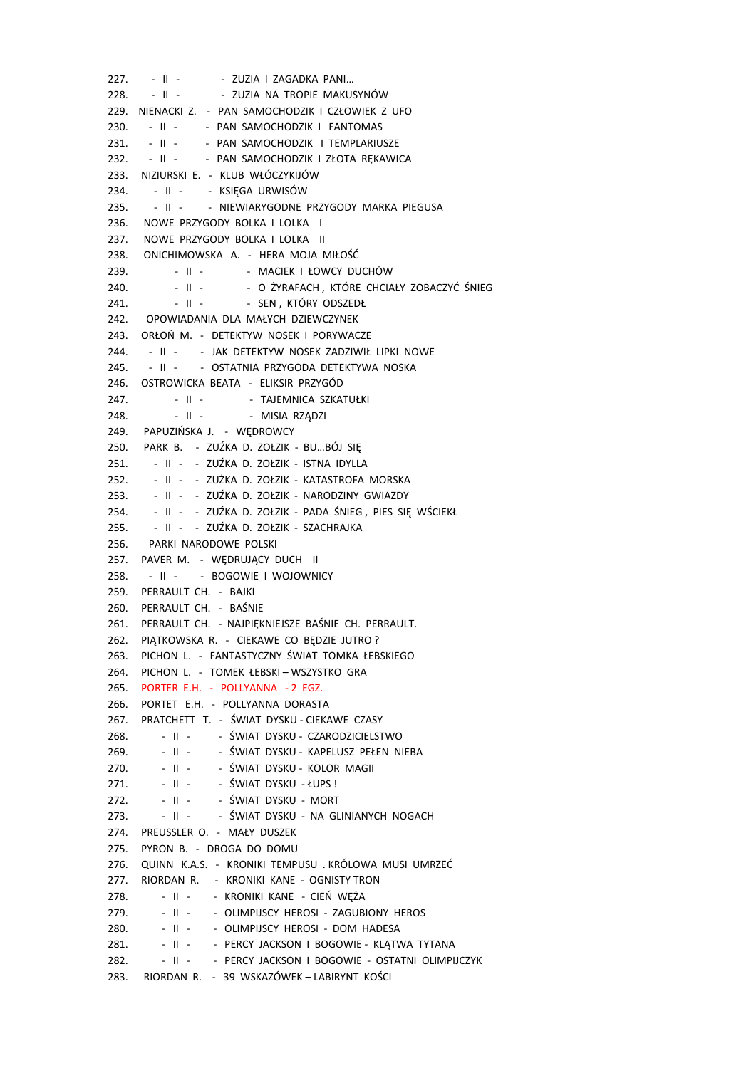227. - II - - - ZUZIA I ZAGADKA PANI... 228. - II - - - ZUZIA NA TROPIE MAKUSYNÓW 229. NIENACKI Z. - PAN SAMOCHODZIK I CZŁOWIEK Z UFO 230. - II - - PAN SAMOCHODZIK I FANTOMAS 231. - II - - PAN SAMOCHODZIK I TEMPLARIUSZE 232. - II - - PAN SAMOCHODZIK I ZŁOTA RĘKAWICA 233. NIZIURSKI E. - KLUB WŁÓCZYKIJÓW 234. - II - - KSIĘGA URWISÓW 235. - II - - NIEWIARYGODNE PRZYGODY MARKA PIEGUSA 236. NOWE PRZYGODY BOLKA I LOLKA I 237. NOWE PRZYGODY BOLKA I LOLKA II 238. ONICHIMOWSKA A. - HERA MOJA MIŁOŚĆ 239. - II - - MACIEK I ŁOWCY DUCHÓW 240. - II - - O ŻYRAFACH, KTÓRE CHCIAŁY ZOBACZYĆ ŚNIEG 241. - II - - - SEN , KTÓRY ODSZEDŁ 242. OPOWIADANIA DLA MAŁYCH DZIEWCZYNEK 243. ORŁOŃ M. - DETEKTYW NOSEK I PORYWACZE 244. - II - - JAK DETEKTYW NOSEK ZADZIWIŁ LIPKI NOWE 245. - II - - OSTATNIA PRZYGODA DETEKTYWA NOSKA 246. OSTROWICKA BEATA - ELIKSIR PRZYGÓD 247. - II - - TAJEMNICA SZKATUŁKI 248. - II - - MISIA RZĄDZI 249. PAPUZIŃSKA J. - WĘDROWCY 250. PARK B. - ZUŹKA D. ZOŁZIK - BU…BÓJ SIĘ 251. - II - - ZUŹKA D. ZOŁZIK - ISTNA IDYLLA 252. - II - - ZUŻKA D. ZOŁZIK - KATASTROFA MORSKA 253. - II - - ZUŹKA D. ZOŁZIK - NARODZINY GWIAZDY 254. - II - - ZUŹKA D. ZOŁZIK - PADA ŚNIEG , PIES SIĘ WŚCIEKŁ 255. - II - - ZUŹKA D. ZOŁZIK - SZACHRAJKA 256. PARKI NARODOWE POLSKI 257. PAVER M. - WĘDRUJĄCY DUCH II 258. - II - - BOGOWIE I WOJOWNICY 259. PERRAULT CH. - BAJKI 260. PERRAULT CH. - BAŚNIE 261. PERRAULT CH. - NAJPIĘKNIEJSZE BAŚNIE CH. PERRAULT. 262. PIĄTKOWSKA R. - CIEKAWE CO BĘDZIE JUTRO ? 263. PICHON L. - FANTASTYCZNY ŚWIAT TOMKA ŁEBSKIEGO 264. PICHON L. - TOMEK ŁEBSKI – WSZYSTKO GRA 265. PORTER E.H. - POLLYANNA - 2 EGZ. 266. PORTET E.H. - POLLYANNA DORASTA 267. PRATCHETT T. - ŚWIAT DYSKU - CIEKAWE CZASY 268. - II - - ŚWIAT DYSKU - CZARODZICIELSTWO 269. - II - - ŚWIAT DYSKU - KAPELUSZ PEŁEN NIEBA 270. - II - - ŚWIAT DYSKU - KOLOR MAGII 271. - II - - ŚWIAT DYSKU - ŁUPS ! 272. - II - - ŚWIAT DYSKU - MORT 273. - II - - ŚWIAT DYSKU - NA GLINIANYCH NOGACH 274. PREUSSLER O. - MAŁY DUSZEK 275. PYRON B. - DROGA DO DOMU 276. QUINN K.A.S. - KRONIKI TEMPUSU . KRÓLOWA MUSI UMRZEĆ 277. RIORDAN R. - KRONIKI KANE - OGNISTY TRON 278. - II - - KRONIKI KANE - CIEŃ WĘŻA 279. - II - - OLIMPIJSCY HEROSI - ZAGUBIONY HEROS 280. - II - - OLIMPIJSCY HEROSI - DOM HADESA 281. - II - - PERCY JACKSON I BOGOWIE - KLĄTWA TYTANA 282. - II - - PERCY JACKSON I BOGOWIE - OSTATNI OLIMPIJCZYK 283. RIORDAN R. - 39 WSKAZÓWEK – LABIRYNT KOŚCI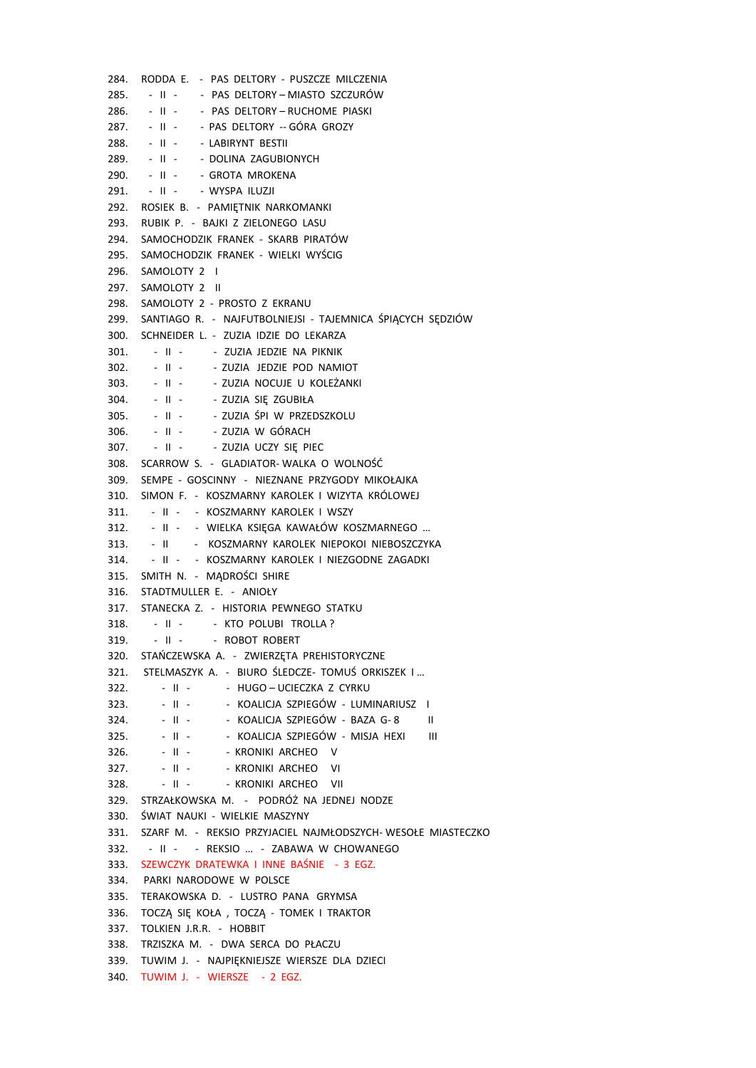284. RODDA E. - PAS DELTORY - PUSZCZE MILCZENIA 285. - II - - PAS DELTORY - MIASTO SZCZURÓW 286. - II - - PAS DELTORY - RUCHOME PIASKI 287. - II - - PAS DELTORY -- GÓRA GROZY 288. - II - - LABIRYNT BESTII 289. - II - - DOLINA ZAGUBIONYCH 290. - II - - GROTA MROKENA 291. - II - - WYSPA ILUZJI 292. ROSIEK B. - PAMIĘTNIK NARKOMANKI 293. RUBIK P. - BAJKI Z ZIELONEGO LASU 294. SAMOCHODZIK FRANEK - SKARB PIRATÓW 295. SAMOCHODZIK FRANEK - WIELKI WYŚCIG 296. SAMOLOTY 2 I 297. SAMOLOTY 2 II 298. SAMOLOTY 2 - PROSTO Z EKRANU 299. SANTIAGO R. - NAJFUTBOLNIEJSI - TAJEMNICA ŚPIĄCYCH SĘDZIÓW 300. SCHNEIDER L. - ZUZIA IDZIE DO LEKARZA 301. - II - - ZUZIA JEDZIE NA PIKNIK 302. - II - - ZUZIA JEDZIE POD NAMIOT 303. - II - - ZUZIA NOCUJE U KOLEŻANKI 304. - II - - ZUZIA SIĘ ZGUBIŁA 305. - II - - ZUZIA ŚPI W PRZEDSZKOLU 306. - II - - ZUZIA W GÓRACH 307. - II - - ZUZIA UCZY SIĘ PIEC 308. SCARROW S. - GLADIATOR- WALKA O WOLNOŚĆ 309. SEMPE - GOSCINNY - NIEZNANE PRZYGODY MIKOŁAJKA 310. SIMON F. - KOSZMARNY KAROLEK I WIZYTA KRÓLOWEJ 311. - II - - KOSZMARNY KAROLEK I WSZY 312. - II - - WIELKA KSIĘGA KAWAŁÓW KOSZMARNEGO … 313. - II - KOSZMARNY KAROLEK NIEPOKOI NIEBOSZCZYKA 314. - II - - KOSZMARNY KAROLEK I NIEZGODNE ZAGADKI 315. SMITH N. - MĄDROŚCI SHIRE 316. STADTMULLER E. - ANIOŁY 317. STANECKA Z. - HISTORIA PEWNEGO STATKU 318. - II - - KTO POLUBI TROLLA ? 319. - II - - ROBOT ROBERT 320. STAŃCZEWSKA A. - ZWIERZĘTA PREHISTORYCZNE 321. STELMASZYK A. - BIURO ŚLEDCZE- TOMUŚ ORKISZEK I … 322. - II - - HUGO – UCIECZKA Z CYRKU 323. - II - - KOALICJA SZPIEGÓW - LUMINARIUSZ I 324. - II - - KOALICJA SZPIEGÓW - BAZA G- 8 II 325. - II - - KOALICJA SZPIEGÓW - MISJA HEXI III 326. - II - - KRONIKI ARCHEO V 327. - II - - KRONIKI ARCHEO VI 328. - II - - KRONIKI ARCHEO VII 329. STRZAŁKOWSKA M. - PODRÓŻ NA JEDNEJ NODZE 330. ŚWIAT NAUKI - WIELKIE MASZYNY 331. SZARF M. - REKSIO PRZYJACIEL NAJMŁODSZYCH- WESOŁE MIASTECZKO 332. - II - - REKSIO … - ZABAWA W CHOWANEGO 333. SZEWCZYK DRATEWKA I INNE BAŚNIE - 3 EGZ. 334. PARKI NARODOWE W POLSCE 335. TERAKOWSKA D. - LUSTRO PANA GRYMSA 336. TOCZĄ SIĘ KOŁA , TOCZĄ - TOMEK I TRAKTOR 337. TOLKIEN J.R.R. - HOBBIT 338. TRZISZKA M. - DWA SERCA DO PŁACZU 339. TUWIM J. - NAJPIĘKNIEJSZE WIERSZE DLA DZIECI 340. TUWIM J. - WIERSZE - 2 EGZ.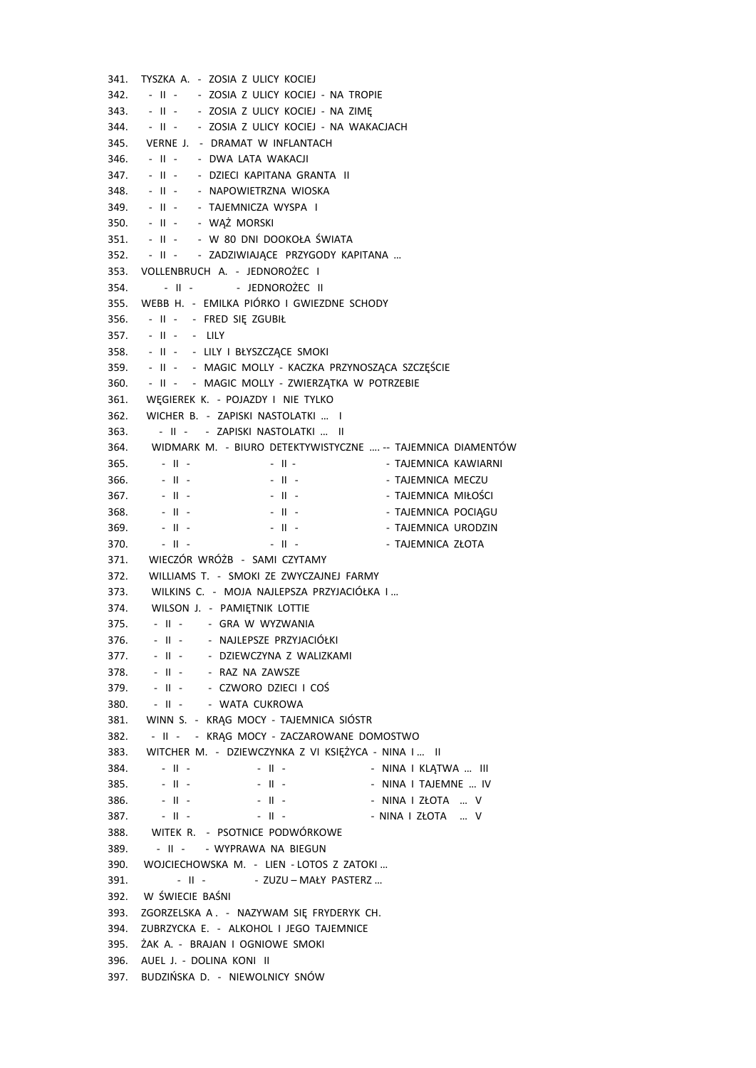341. TYSZKA A. - ZOSIA Z ULICY KOCIEJ 342. - II - - ZOSIA Z ULICY KOCIEJ - NA TROPIE 343. - II - - ZOSIA Z ULICY KOCIEJ - NA ZIMĘ 344. - II - - ZOSIA Z ULICY KOCIEJ - NA WAKACJACH 345. VERNE J. - DRAMAT W INFLANTACH 346. - II - - DWA LATA WAKACJI 347. - II - - DZIECI KAPITANA GRANTA II 348. - II - - NAPOWIETRZNA WIOSKA 349. - II - - TAJEMNICZA WYSPA I 350. - II - - WĄŻ MORSKI 351. - II - - W 80 DNI DOOKOŁA ŚWIATA 352. - II - - ZADZIWIAJĄCE PRZYGODY KAPITANA … 353. VOLLENBRUCH A. - JEDNOROŻEC I 354. - II - - - JEDNOROŻEC II 355. WEBB H. - EMILKA PIÓRKO I GWIEZDNE SCHODY 356. - II - - FRED SIĘ ZGUBIŁ 357. - II - - LILY 358. - II - - LILY I BŁYSZCZĄCE SMOKI 359. - II - - MAGIC MOLLY - KACZKA PRZYNOSZĄCA SZCZĘŚCIE 360. - II - - MAGIC MOLLY - ZWIERZATKA W POTRZEBIE 361. WĘGIEREK K. - POJAZDY I NIE TYLKO 362. WICHER B. - ZAPISKI NASTOLATKI … I 363. - II - - ZAPISKI NASTOLATKI … II 364. WIDMARK M. - BIURO DETEKTYWISTYCZNE …. -- TAJEMNICA DIAMENTÓW 365. - II - - II - - TAJEMNICA KAWIARNI 366. - II - - - - II - - - - TAJEMNICA MECZU 367. - II - - - - II - - - - - TAJEMNICA MIŁOŚCI 368. - II - - - II - - - - TAJEMNICA POCIĄGU 369. - II - - - - II - - - - TAJEMNICA URODZIN 370. - II - - - II - - - - TAJEMNICA ZŁOTA 371. WIECZÓR WRÓŻB - SAMI CZYTAMY 372. WILLIAMS T. - SMOKI ZE ZWYCZAJNEJ FARMY 373. WILKINS C. - MOJA NAJLEPSZA PRZYJACIÓŁKA I … 374. WILSON J. - PAMIĘTNIK LOTTIE 375. - II - - GRA W WYZWANIA 376. - II - - NAJLEPSZE PRZYJACIÓŁKI 377. - II - - DZIEWCZYNA Z WALIZKAMI 378. - II - - RAZ NA ZAWSZE 379. - II - - CZWORO DZIECI I COŚ 380. - II - - WATA CUKROWA 381. WINN S. - KRĄG MOCY - TAJEMNICA SIÓSTR 382. - II - - KRĄG MOCY - ZACZAROWANE DOMOSTWO 383. WITCHER M. - DZIEWCZYNKA Z VI KSIĘŻYCA - NINA I … II 384. - II - - II - - NINA I KLĄTWA … III 385. - II - - II - - NINA I TAJEMNE … IV 386. - II - - II - - NINA I ZŁOTA … V 387. - II - - II - - NINA I ZŁOTA … V 388. WITEK R. - PSOTNICE PODWÓRKOWE 389. - II - - WYPRAWA NA BIEGUN 390. WOJCIECHOWSKA M. - LIEN - LOTOS Z ZATOKI … 391. - II - - ZUZU – MAŁY PASTERZ ... 392. W ŚWIECIE BAŚNI 393. ZGORZELSKA A . - NAZYWAM SIĘ FRYDERYK CH. 394. ZUBRZYCKA E. - ALKOHOL I JEGO TAJEMNICE 395. ŻAK A. - BRAJAN I OGNIOWE SMOKI 396. AUEL J. - DOLINA KONI II 397. BUDZIŃSKA D. - NIEWOLNICY SNÓW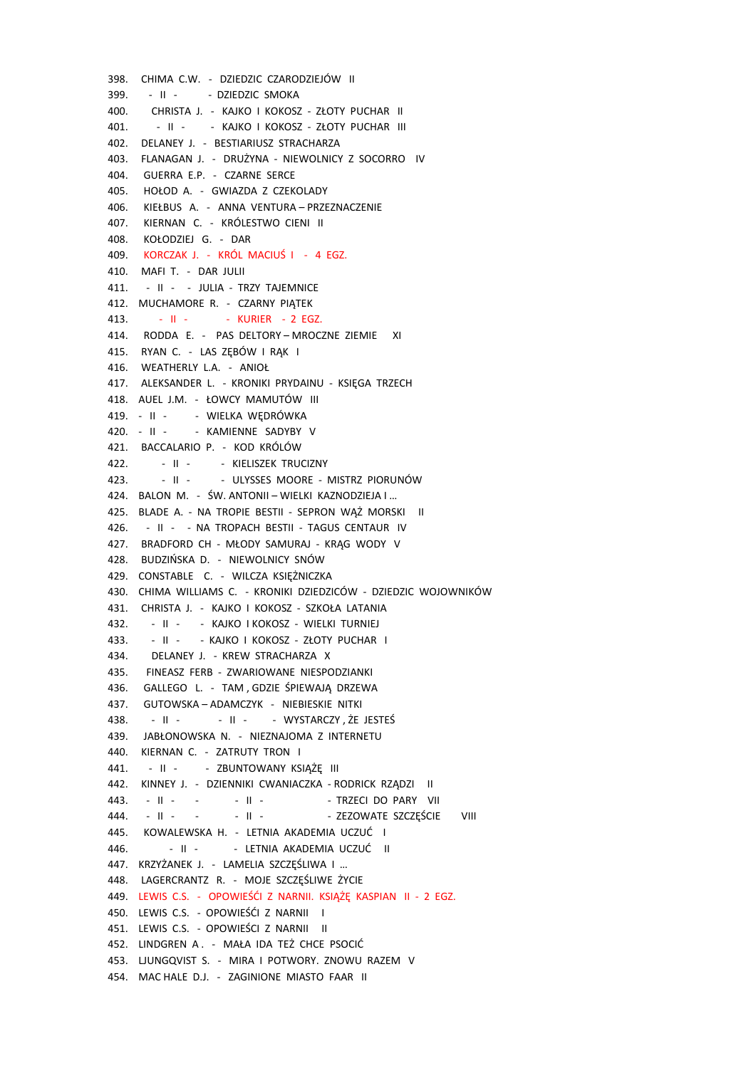398. CHIMA C.W. - DZIEDZIC CZARODZIEJÓW II 399. - II - - DZIEDZIC SMOKA 400. CHRISTA J. - KAJKO I KOKOSZ - ZŁOTY PUCHAR II 401. - II - - KAJKO I KOKOSZ - ZŁOTY PUCHAR III 402. DELANEY J. - BESTIARIUSZ STRACHARZA 403. FLANAGAN J. - DRUŻYNA - NIEWOLNICY Z SOCORRO IV 404. GUERRA E.P. - CZARNE SERCE 405. HOŁOD A. - GWIAZDA Z CZEKOLADY 406. KIEŁBUS A. - ANNA VENTURA – PRZEZNACZENIE 407. KIERNAN C. - KRÓLESTWO CIENI II 408. KOŁODZIEJ G. - DAR 409. KORCZAK J. - KRÓL MACIUŚ I - 4 EGZ. 410. MAFI T. - DAR JULII 411. - II - - JULIA - TRZY TAJEMNICE 412. MUCHAMORE R. - CZARNY PIATEK 413. - II - - - KURIER - 2 EGZ. 414. RODDA E. - PAS DELTORY – MROCZNE ZIEMIE XI 415. RYAN C. - LAS ZĘBÓW I RĄK I 416. WEATHERLY L.A. - ANIOŁ 417. ALEKSANDER L. - KRONIKI PRYDAINU - KSIĘGA TRZECH 418. AUEL J.M. - ŁOWCY MAMUTÓW III 419. - II - - WIELKA WĘDRÓWKA 420. - II - - KAMIENNE SADYBY V 421. BACCALARIO P. - KOD KRÓLÓW 422. - II - - KIELISZEK TRUCIZNY 423. - II - - ULYSSES MOORE - MISTRZ PIORUNÓW 424. BALON M. - ŚW. ANTONII – WIELKI KAZNODZIEJA I … 425. BLADE A. - NA TROPIE BESTII - SEPRON WĄŻ MORSKI II 426. - II - - NA TROPACH BESTII - TAGUS CENTAUR IV 427. BRADFORD CH - MŁODY SAMURAJ - KRĄG WODY V 428. BUDZIŃSKA D. - NIEWOLNICY SNÓW 429. CONSTABLE C. - WILCZA KSIĘŻNICZKA 430. CHIMA WILLIAMS C. - KRONIKI DZIEDZICÓW - DZIEDZIC WOJOWNIKÓW 431. CHRISTA J. - KAJKO I KOKOSZ - SZKOŁA LATANIA 432. - II - - KAJKO I KOKOSZ - WIELKI TURNIEJ 433. - II - - KAJKO I KOKOSZ - ZŁOTY PUCHAR I 434. DELANEY J. - KREW STRACHARZA X 435. FINEASZ FERB - ZWARIOWANE NIESPODZIANKI 436. GALLEGO L. - TAM , GDZIE ŚPIEWAJĄ DRZEWA 437. GUTOWSKA – ADAMCZYK - NIEBIESKIE NITKI 438. - II - - - II - - WYSTARCZY, ŻE JESTEŚ 439. JABŁONOWSKA N. - NIEZNAJOMA Z INTERNETU 440. KIERNAN C. - ZATRUTY TRON I 441. - II - - ZBUNTOWANY KSIĄŻĘ III 442. KINNEY J. - DZIENNIKI CWANIACZKA - RODRICK RZĄDZI II 443. - II - - - - II - - - - - - TRZECI DO PARY VII 444. - II - - - II - - ZEZOWATE SZCZĘŚCIE VIII 445. KOWALEWSKA H. - LETNIA AKADEMIA UCZUĆ I 446. - II - - LETNIA AKADEMIA UCZUĆ II 447. KRZYŻANEK J. - LAMELIA SZCZĘŚLIWA I … 448. LAGERCRANTZ R. - MOJE SZCZĘŚLIWE ŻYCIE 449. LEWIS C.S. - OPOWIEŚĆI Z NARNII. KSIĄŻĘ KASPIAN II - 2 EGZ. 450. LEWIS C.S. - OPOWIEŚĆI Z NARNII I 451. LEWIS C.S. - OPOWIEŚCI Z NARNII II 452. LINDGREN A . - MAŁA IDA TEŻ CHCE PSOCIĆ 453. LJUNGQVIST S. - MIRA I POTWORY. ZNOWU RAZEM V 454. MAC HALE D.J. - ZAGINIONE MIASTO FAAR II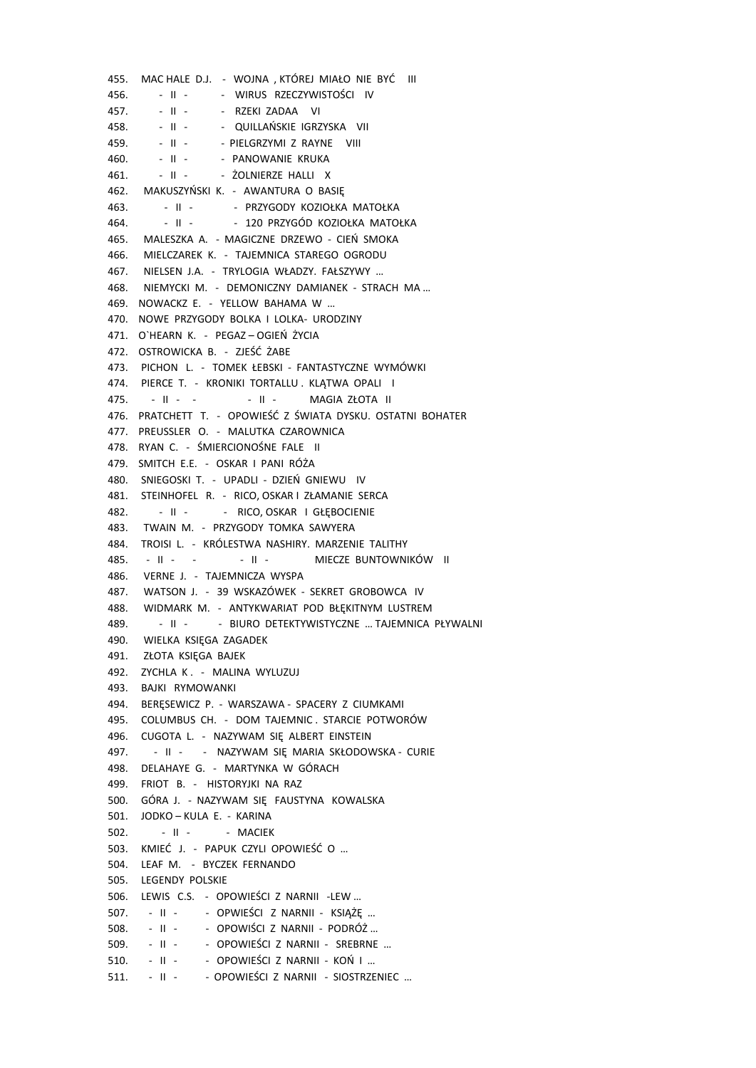455. MAC HALE D.J. - WOJNA , KTÓREJ MIAŁO NIE BYĆ III 456. - II - - - WIRUS RZECZYWISTOŚCI IV 457. - II - - RZEKI ZADAA VI 458. - II - - QUILLAŃSKIE IGRZYSKA VII 459. - II - - PIELGRZYMI Z RAYNE VIII 460. - II - - PANOWANIE KRUKA 461. - II - - ŻOLNIERZE HALLI X 462. MAKUSZYŃSKI K. - AWANTURA O BASIĘ 463. - II - - PRZYGODY KOZIOŁKA MATOŁKA 464. - II - - 120 PRZYGÓD KOZIOŁKA MATOŁKA 465. MALESZKA A. - MAGICZNE DRZEWO - CIEŃ SMOKA 466. MIELCZAREK K. - TAJEMNICA STAREGO OGRODU 467. NIELSEN J.A. - TRYLOGIA WŁADZY. FAŁSZYWY … 468. NIEMYCKI M. - DEMONICZNY DAMIANEK - STRACH MA … 469. NOWACKZ E. - YELLOW BAHAMA W … 470. NOWE PRZYGODY BOLKA I LOLKA- URODZINY 471. O`HEARN K. - PEGAZ – OGIEŃ ŻYCIA 472. OSTROWICKA B. - ZJEŚĆ ŻABE 473. PICHON L. - TOMEK ŁEBSKI - FANTASTYCZNE WYMÓWKI 474. PIERCE T. - KRONIKI TORTALLU, KLATWA OPALI I 475. - II - - - II - MAGIA ZŁOTA II 476. PRATCHETT T. - OPOWIEŚĆ Z ŚWIATA DYSKU. OSTATNI BOHATER 477. PREUSSLER O. - MALUTKA CZAROWNICA 478. RYAN C. - ŚMIERCIONOŚNE FALE II 479. SMITCH E.E. - OSKAR I PANI RÓŻA 480. SNIEGOSKI T. - UPADLI - DZIEŃ GNIEWU IV 481. STEINHOFEL R. - RICO, OSKAR I ZŁAMANIE SERCA 482. - II - - RICO, OSKAR I GŁĘBOCIENIE 483. TWAIN M. - PRZYGODY TOMKA SAWYERA 484. TROISI L. - KRÓLESTWA NASHIRY. MARZENIE TALITHY 485. - II - - - II - MIECZE BUNTOWNIKÓW II 486. VERNE J. - TAJEMNICZA WYSPA 487. WATSON J. - 39 WSKAZÓWEK - SEKRET GROBOWCA IV 488. WIDMARK M. - ANTYKWARIAT POD BŁĘKITNYM LUSTREM 489. - II - - BIURO DETEKTYWISTYCZNE … TAJEMNICA PŁYWALNI 490. WIELKA KSIĘGA ZAGADEK 491. ZŁOTA KSIĘGA BAJEK 492. ZYCHLA K . - MALINA WYLUZUJ 493. BAJKI RYMOWANKI 494. BERĘSEWICZ P. - WARSZAWA - SPACERY Z CIUMKAMI 495. COLUMBUS CH. - DOM TAJEMNIC . STARCIE POTWORÓW 496. CUGOTA L. - NAZYWAM SIĘ ALBERT EINSTEIN 497. - II - - NAZYWAM SIĘ MARIA SKŁODOWSKA - CURIE 498. DELAHAYE G. - MARTYNKA W GÓRACH 499. FRIOT B. - HISTORYJKI NA RAZ 500. GÓRA J. - NAZYWAM SIĘ FAUSTYNA KOWALSKA 501. JODKO – KULA E. - KARINA 502. - II - - MACIEK 503. KMIEĆ J. - PAPUK CZYLI OPOWIEŚĆ O … 504. LEAF M. - BYCZEK FERNANDO 505. LEGENDY POLSKIE 506. LEWIS C.S. - OPOWIEŚCI Z NARNII -LEW … 507. - II - - OPWIEŚCI Z NARNII - KSIĄŻĘ … 508. - II - - OPOWIŚCI Z NARNII - PODRÓŻ … 509. - II - - OPOWIEŚCI Z NARNII - SREBRNE … 510. - II - - OPOWIEŚCI Z NARNII - KOŃ I … 511. - II - - OPOWIEŚCI Z NARNII - SIOSTRZENIEC …